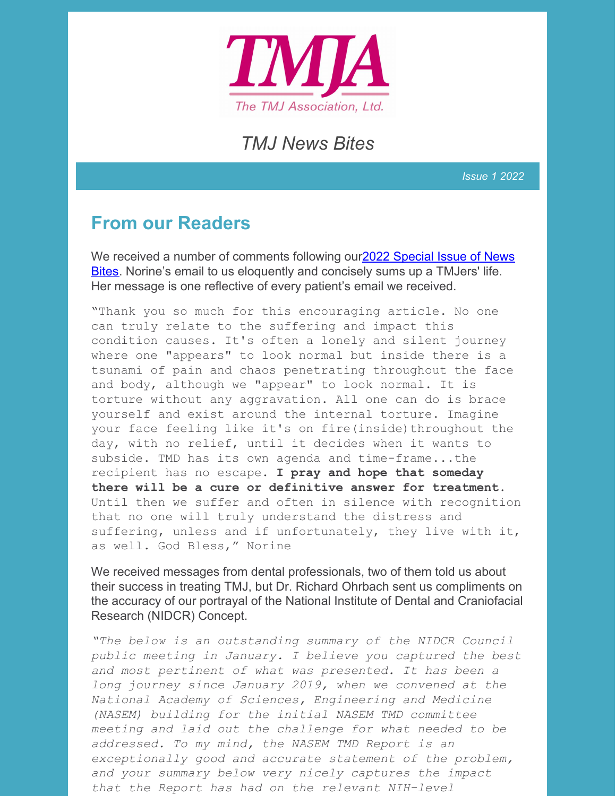

## *TMJ News Bites*

*Issue 1 2022*

### **From our Readers**

We received a number of [comments](https://tmj.org/wp-content/uploads/2022/02/TMJ-News-Bites-Special-Issue-2022.pdf) following our 2022 Special Issue of News Bites. Norine's email to us eloquently and concisely sums up a TMJers' life. Her message is one reflective of every patient's email we received.

"Thank you so much for this encouraging article. No one can truly relate to the suffering and impact this condition causes. It's often a lonely and silent journey where one "appears" to look normal but inside there is a tsunami of pain and chaos penetrating throughout the face and body, although we "appear" to look normal. It is torture without any aggravation. All one can do is brace yourself and exist around the internal torture. Imagine your face feeling like it's on fire(inside)throughout the day, with no relief, until it decides when it wants to subside. TMD has its own agenda and time-frame...the recipient has no escape. **I pray and hope that someday there will be a cure or definitive answer for treatment.** Until then we suffer and often in silence with recognition that no one will truly understand the distress and suffering, unless and if unfortunately, they live with it, as well. God Bless," Norine

We received messages from dental professionals, two of them told us about their success in treating TMJ, but Dr. Richard Ohrbach sent us compliments on the accuracy of our portrayal of the National Institute of Dental and Craniofacial Research (NIDCR) Concept.

*"The below is an outstanding summary of the NIDCR Council public meeting in January. I believe you captured the best and most pertinent of what was presented. It has been a long journey since January 2019, when we convened at the National Academy of Sciences, Engineering and Medicine (NASEM) building for the initial NASEM TMD committee meeting and laid out the challenge for what needed to be addressed. To my mind, the NASEM TMD Report is an exceptionally good and accurate statement of the problem, and your summary below very nicely captures the impact that the Report has had on the relevant NIH-level*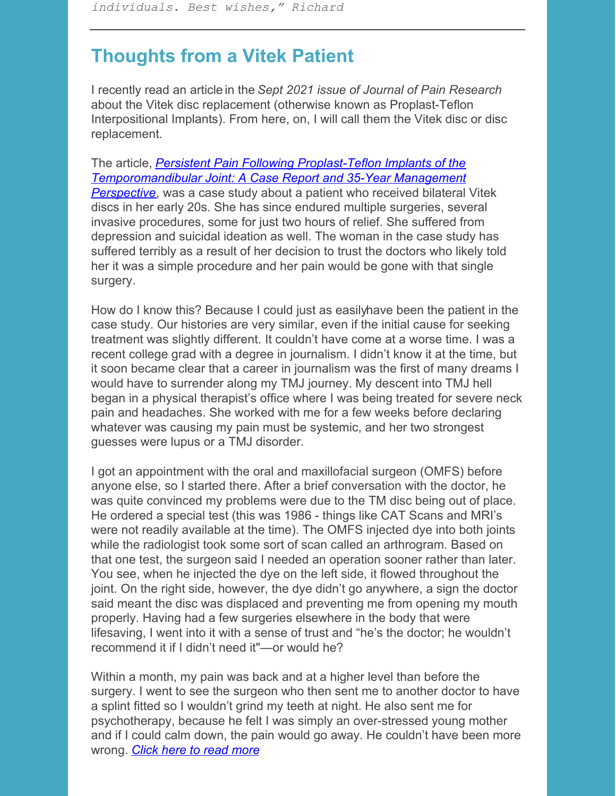## **Thoughts from a Vitek Patient**

I recently read an article in the *Sept 2021 issue of Journal of Pain Research* about the Vitek disc replacement (otherwise known as Proplast-Teflon Interpositional Implants). From here, on, I will call them the Vitek disc or disc replacement.

The article, *Persistent Pain Following Proplast-Teflon Implants of the [Temporomandibular](https://www.ncbi.nlm.nih.gov/pmc/articles/PMC8486010/pdf/jpr-14-3033.pdf) Joint: A Case Report and 35-Year Management Perspective*, was a case study about a patient who received bilateral Vitek discs in her early 20s. She has since endured multiple surgeries, several invasive procedures, some for just two hours of relief. She suffered from depression and suicidal ideation as well. The woman in the case study has suffered terribly as a result of her decision to trust the doctors who likely told her it was a simple procedure and her pain would be gone with that single surgery.

How do I know this? Because I could just as easilyhave been the patient in the case study. Our histories are very similar, even if the initial cause for seeking treatment was slightly different. It couldn't have come at a worse time. I was a recent college grad with a degree in journalism. I didn't know it at the time, but it soon became clear that a career in journalism was the first of many dreams I would have to surrender along my TMJ journey. My descent into TMJ hell began in a physical therapist's office where I was being treated for severe neck pain and headaches. She worked with me for a few weeks before declaring whatever was causing my pain must be systemic, and her two strongest guesses were lupus or a TMJ disorder.

I got an appointment with the oral and maxillofacial surgeon (OMFS) before anyone else, so I started there. After a brief conversation with the doctor, he was quite convinced my problems were due to the TM disc being out of place. He ordered a special test (this was 1986 - things like CAT Scans and MRI's were not readily available at the time). The OMFS injected dye into both joints while the radiologist took some sort of scan called an arthrogram. Based on that one test, the surgeon said I needed an operation sooner rather than later. You see, when he injected the dye on the left side, it flowed throughout the joint. On the right side, however, the dye didn't go anywhere, a sign the doctor said meant the disc was displaced and preventing me from opening my mouth properly. Having had a few surgeries elsewhere in the body that were lifesaving, I went into it with a sense of trust and "he's the doctor; he wouldn't recommend it if I didn't need it"—or would he?

Within a month, my pain was back and at a higher level than before the surgery. I went to see the surgeon who then sent me to another doctor to have a splint fitted so I wouldn't grind my teeth at night. He also sent me for psychotherapy, because he felt I was simply an over-stressed young mother and if I could calm down, the pain would go away. He couldn't have been more wrong. *[Click](https://tmj.org/stories/thoughts-from-a-vitek-patient/) here to read more*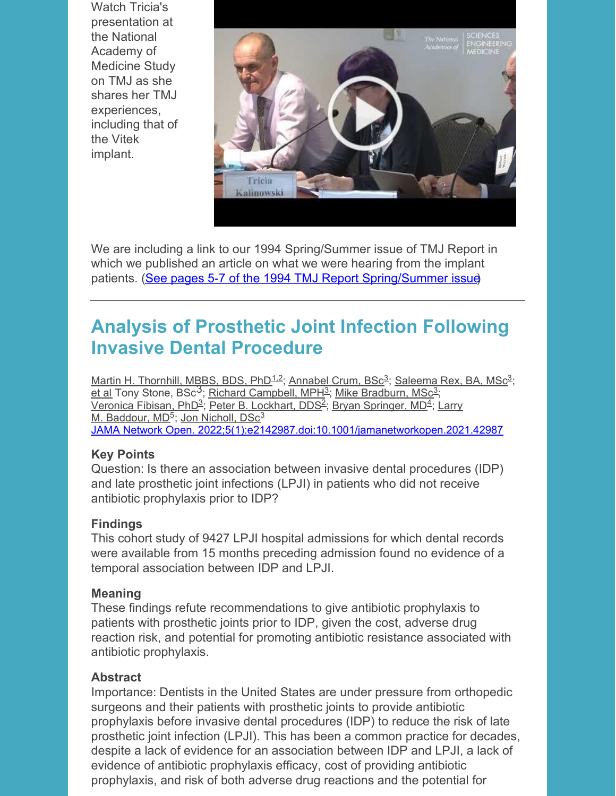Watch Tricia's presentation at the National Academy of Medicine Study on TMJ as she shares her TMJ experiences, including that of the Vitek implant.



We are including a link to our 1994 Spring/Summer issue of TMJ Report in which we published an article on what we were hearing from the implant patients. (See pages 5-7 of the 1994 TMJ Report [Spring/Summer](https://tmj.org/wp-content/uploads/2022/03/Springsummer94.pdf) issue)

# **Analysis of Prosthetic Joint Infection Following Invasive Dental Procedure**

Martin H. [Thornhill,](https://jamanetwork.com/searchresults?author=Martin+H.+Thornhill&q=Martin+H.+Thornhill) MBBS, BDS, PhD<sup>[1,2](https://jamanetwork.com/searchresults?author=Martin+H.+Thornhill&q=Martin+H.+Thornhill)</sup>; [Annabel](https://jamanetwork.com/searchresults?author=Annabel+Crum&q=Annabel+Crum) Crum, BSc<sup>[3](https://jamanetwork.com/searchresults?author=Saleema+Rex&q=Saleema+Rex)</sup>; [Saleema](https://jamanetwork.com/searchresults?author=Saleema+Rex&q=Saleema+Rex) Rex, BA, MSc<sup>3</sup>; et al Tony Stone, BSc<sup>3</sup>; Richard [Campbell,](https://jamanetwork.com/searchresults?author=Richard+Campbell&q=Richard+Campbell) MPH<sup>[3](https://jamanetwork.com/searchresults?author=Mike+Bradburn&q=Mike+Bradburn)</sup>; Mike [Bradburn,](https://jamanetwork.com/searchresults?author=Mike+Bradburn&q=Mike+Bradburn) MSc<sup>3</sup>; [Veronica](https://jamanetwork.com/searchresults?author=Veronica+Fibisan&q=Veronica+Fibisan) Fibisan, PhD<sup>[3](https://jamanetwork.com/searchresults?author=Veronica+Fibisan&q=Veronica+Fibisan)</sup>; Peter B. [Lockhart,](https://jamanetwork.com/searchresults?author=Larry+M.+Baddour&q=Larry+M.+Baddour) DDS<sup>[2](https://jamanetwork.com/searchresults?author=Peter+B.+Lockhart&q=Peter+B.+Lockhart)</sup>; Bryan [Springer,](https://jamanetwork.com/searchresults?author=Bryan+Springer&q=Bryan+Springer) MD<sup>[4](https://jamanetwork.com/searchresults?author=Bryan+Springer&q=Bryan+Springer)</sup>; Larry M. Baddour, MD<sup>[5](https://jamanetwork.com/searchresults?author=Larry+M.+Baddour&q=Larry+M.+Baddour)</sup>; Jon [Nicholl,](https://jamanetwork.com/searchresults?author=Jon+Nicholl&q=Jon+Nicholl) DSc<sup>[3](https://jamanetwork.com/searchresults?author=Jon+Nicholl&q=Jon+Nicholl)</sup> JAMA Network Open. [2022;5\(1\):e2142987.doi:10.1001/jamanetworkopen.2021.42987](https://jamanetwork.com/journals/jamanetworkopen/fullarticle/2788219)

### **Key Points**

Question: Is there an association between invasive dental procedures (IDP) and late prosthetic joint infections (LPJI) in patients who did not receive antibiotic prophylaxis prior to IDP?

### **Findings**

This cohort study of 9427 LPJI hospital admissions for which dental records were available from 15 months preceding admission found no evidence of a temporal association between IDP and LPJI.

### **Meaning**

These findings refute recommendations to give antibiotic prophylaxis to patients with prosthetic joints prior to IDP, given the cost, adverse drug reaction risk, and potential for promoting antibiotic resistance associated with antibiotic prophylaxis.

### **Abstract**

Importance: Dentists in the United States are under pressure from orthopedic surgeons and their patients with prosthetic joints to provide antibiotic prophylaxis before invasive dental procedures (IDP) to reduce the risk of late prosthetic joint infection (LPJI). This has been a common practice for decades, despite a lack of evidence for an association between IDP and LPJI, a lack of evidence of antibiotic prophylaxis efficacy, cost of providing antibiotic prophylaxis, and risk of both adverse drug reactions and the potential for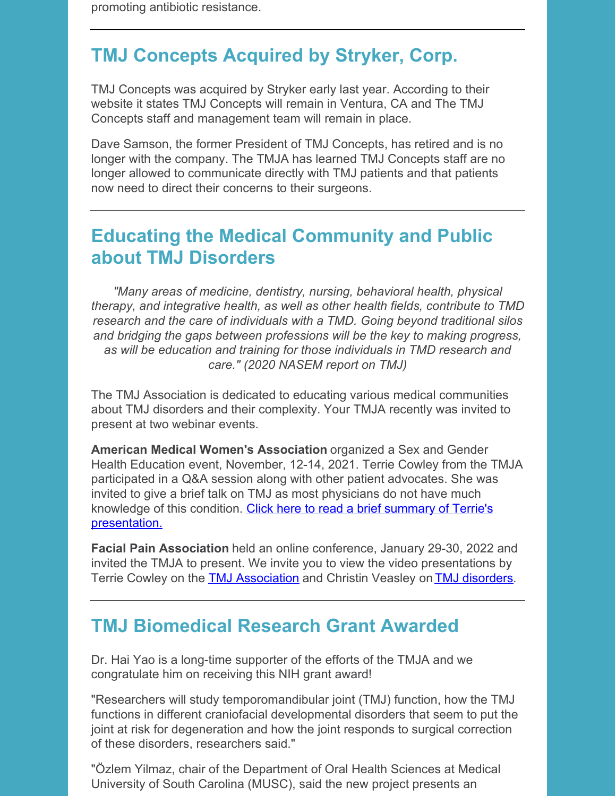promoting antibiotic resistance.

## **TMJ Concepts Acquired by Stryker, Corp.**

TMJ Concepts was acquired by Stryker early last year. According to their website it states TMJ Concepts will remain in Ventura, CA and The TMJ Concepts staff and management team will remain in place.

Dave Samson, the former President of TMJ Concepts, has retired and is no longer with the company. The TMJA has learned TMJ Concepts staff are no longer allowed to communicate directly with TMJ patients and that patients now need to direct their concerns to their surgeons.

## **Educating the Medical Community and Public about TMJ Disorders**

*"Many areas of medicine, dentistry, nursing, behavioral health, physical therapy, and integrative health, as well as other health fields, contribute to TMD research and the care of individuals with a TMD. Going beyond traditional silos and bridging the gaps between professions will be the key to making progress, as will be education and training for those individuals in TMD research and care." (2020 NASEM report on TMJ)*

The TMJ Association is dedicated to educating various medical communities about TMJ disorders and their complexity. Your TMJA recently was invited to present at two webinar events.

**American Medical Women's Association** organized a Sex and Gender Health Education event, November, 12-14, 2021. Terrie Cowley from the TMJA participated in a Q&A session along with other patient advocates. She was invited to give a brief talk on TMJ as most physicians do not have much knowledge of this condition. Click here to read a brief summary of Terrie's [presentation.](https://tmj.org/wp-content/uploads/2022/02/AMWAs-Sex-and-Gender-Health-Education-Summit-_-TC-Summary.pdf)

**Facial Pain Association** held an online conference, January 29-30, 2022 and invited the TMJA to present. We invite you to view the video presentations by Terrie Cowley on the **TMJ [Association](https://youtu.be/9cXRbLapcA8)** and Christin Veasley on **TMJ [disorders](https://youtu.be/T69ZCPaa-lo)**.

## **TMJ Biomedical Research Grant Awarded**

Dr. Hai Yao is a long-time supporter of the efforts of the TMJA and we congratulate him on receiving this NIH grant award!

"Researchers will study temporomandibular joint (TMJ) function, how the TMJ functions in different craniofacial developmental disorders that seem to put the joint at risk for degeneration and how the joint responds to surgical correction of these disorders, researchers said."

"Özlem Yilmaz, chair of the Department of Oral Health Sciences at Medical University of South Carolina (MUSC), said the new project presents an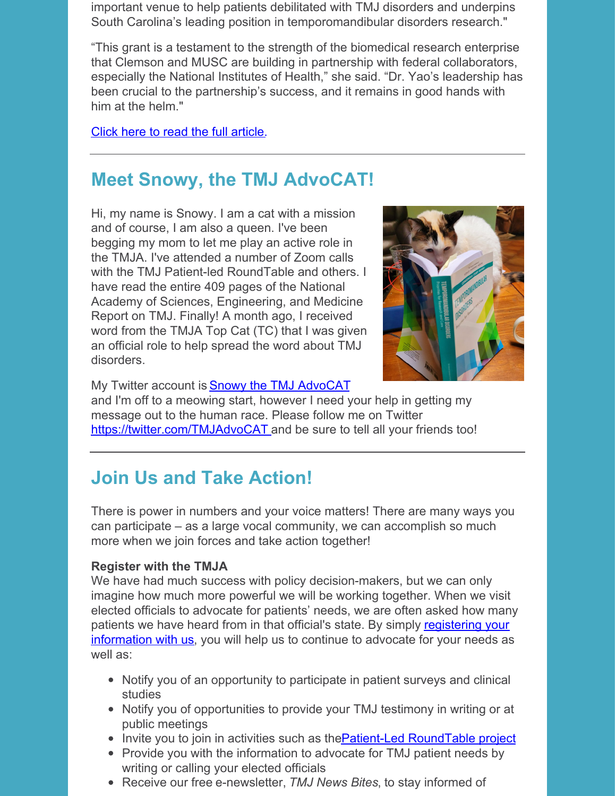important venue to help patients debilitated with TMJ disorders and underpins South Carolina's leading position in temporomandibular disorders research."

"This grant is a testament to the strength of the biomedical research enterprise that Clemson and MUSC are building in partnership with federal collaborators, especially the National Institutes of Health," she said. "Dr. Yao's leadership has been crucial to the partnership's success, and it remains in good hands with him at the helm."

Click here to read the full [article.](https://news.clemson.edu/new-research-underscores-south-carolinas-growing-strength-as-a-biomedical-research-hub/?utm_source=rss&utm_medium=rss&utm_campaign=new-research-underscores-south-carolinas-growing-strength-as-a-biomedical-research-hub&fbclid=IwAR0BgZSMmfEsQQgiPGeGrylglFoYoAusOuqx3ikgoieBdm344fpj5ibXlEM)

# **Meet Snowy, the TMJ AdvoCAT!**

Hi, my name is Snowy. I am a cat with a mission and of course, I am also a queen. I've been begging my mom to let me play an active role in the TMJA. I've attended a number of Zoom calls with the TMJ Patient-led RoundTable and others. I have read the entire 409 pages of the National Academy of Sciences, Engineering, and Medicine Report on TMJ. Finally! A month ago, I received word from the TMJA Top Cat (TC) that I was given an official role to help spread the word about TMJ disorders.



My Twitter account is **Snowy the TMJ [AdvoCAT](https://twitter.com/TMJAdvoCAT)** 

and I'm off to a meowing start, however I need your help in getting my message out to the human race. Please follow me on Twitter <https://twitter.com/TMJAdvoCAT> and be sure to tell all your friends too!

## **Join Us and Take Action!**

There is power in numbers and your voice matters! There are many ways you can participate – as a large vocal community, we can accomplish so much more when we join forces and take action together!

### **Register with the TMJA**

We have had much success with policy decision-makers, but we can only imagine how much more powerful we will be working together. When we visit elected officials to advocate for patients' needs, we are often asked how many patients we have heard from in that official's state. By simply registering your [information](http://tmj.org/join-us/) with us, you will help us to continue to advocate for your needs as well as:

- Notify you of an opportunity to participate in patient surveys and clinical studies
- Notify you of opportunities to provide your TMJ testimony in writing or at public meetings
- Invite you to join in activities such as the **Patient-Led Round Table project**
- Provide you with the information to advocate for TMJ patient needs by writing or calling your elected officials
- Receive our free e-newsletter, *TMJ News Bites*, to stay informed of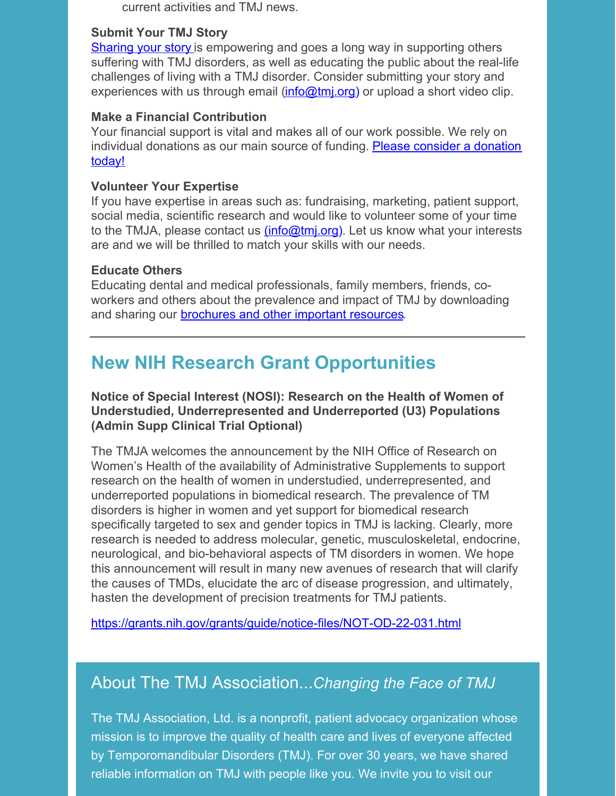current activities and TMJ news.

### **Submit Your TMJ Story**

[Sharing](http://tmj.org/community/tmj-stories/) your story is empowering and goes a long way in supporting others suffering with TMJ disorders, as well as educating the public about the real-life challenges of living with a TMJ disorder. Consider submitting your story and experiences with us through email  $(info@tmj.org)$  $(info@tmj.org)$  or upload a short video clip.

### **Make a Financial Contribution**

Your financial support is vital and makes all of our work possible. We rely on individual [donations](http://tmj.org/about-the-tmj-association/donate/) as our main source of funding. Please consider a donation today!

#### **Volunteer Your Expertise**

If you have expertise in areas such as: fundraising, marketing, patient support, social media, scientific research and would like to volunteer some of your time to the TMJA, please contact us  $(info@tmj.org)$  $(info@tmj.org)$ . Let us know what your interests are and we will be thrilled to match your skills with our needs.

#### **Educate Others**

Educating dental and medical professionals, family members, friends, coworkers and others about the prevalence and impact of TMJ by downloading and sharing our **[brochures](http://tmj.org/about-the-tmj-association/our-publications-2/brochures/) and other important resources**.

## **New NIH Research Grant Opportunities**

**Notice of Special Interest (NOSI): Research on the Health of Women of Understudied, Underrepresented and Underreported (U3) Populations (Admin Supp Clinical Trial Optional)**

The TMJA welcomes the announcement by the NIH Office of Research on Women's Health of the availability of Administrative Supplements to support research on the health of women in understudied, underrepresented, and underreported populations in biomedical research. The prevalence of TM disorders is higher in women and yet support for biomedical research specifically targeted to sex and gender topics in TMJ is lacking. Clearly, more research is needed to address molecular, genetic, musculoskeletal, endocrine, neurological, and bio-behavioral aspects of TM disorders in women. We hope this announcement will result in many new avenues of research that will clarify the causes of TMDs, elucidate the arc of disease progression, and ultimately, hasten the development of precision treatments for TMJ patients.

<https://grants.nih.gov/grants/guide/notice-files/NOT-OD-22-031.html>

### About The TMJ Association...*Changing the Face of TMJ*

The TMJ Association, Ltd. is a nonprofit, patient advocacy organization whose mission is to improve the quality of health care and lives of everyone affected by Temporomandibular Disorders (TMJ). For over 30 years, we have shared reliable information on TMJ with people like you. We invite you to visit our